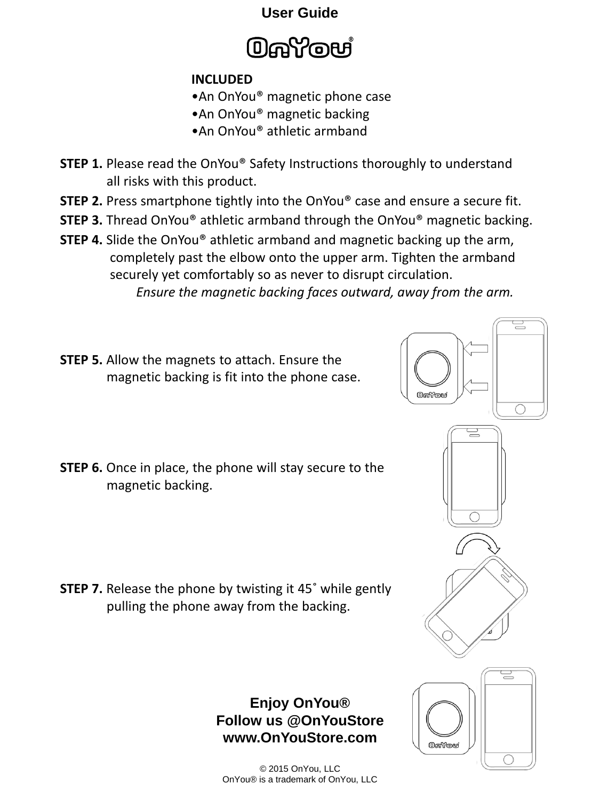## **User Guide**



## **INCLUDED**

- •An OnYou® magnetic phone case
- •An OnYou® magnetic backing
- •An OnYou® athletic armband
- **STEP 1.** Please read the OnYou<sup>®</sup> Safety Instructions thoroughly to understand all risks with this product.
- **STEP 2.** Press smartphone tightly into the OnYou® case and ensure a secure fit.
- **STEP 3.** Thread OnYou® athletic armband through the OnYou® magnetic backing.
- **STEP 4.** Slide the OnYou<sup>®</sup> athletic armband and magnetic backing up the arm, completely past the elbow onto the upper arm. Tighten the armband securely yet comfortably so as never to disrupt circulation. *Ensure the magnetic backing faces outward, away from the arm.*
- **STEP 5.** Allow the magnets to attach. Ensure the magnetic backing is fit into the phone case.
- **STEP 6.** Once in place, the phone will stay secure to the magnetic backing.

**STEP 7.** Release the phone by twisting it 45° while gently pulling the phone away from the backing.

## **Enjoy OnYou® Follow us @OnYouStore www.OnYouStore.com**

© 2015 OnYou, LLC OnYou® is a trademark of OnYou, LLC